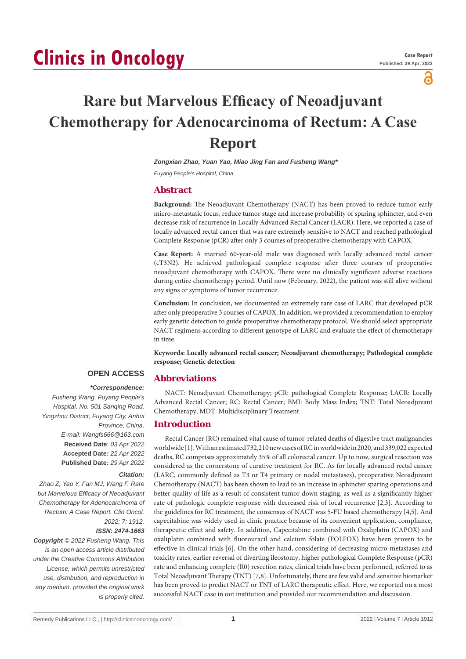# **Clinics in Oncology**

്

# **Rare but Marvelous Efficacy of Neoadjuvant Chemotherapy for Adenocarcinoma of Rectum: A Case Report**

*Zongxian Zhao, Yuan Yao, Miao Jing Fan and Fusheng Wang\**

*Fuyang People's Hospital, China*

## **Abstract**

**Background:** The Neoadjuvant Chemotherapy (NACT) has been proved to reduce tumor early micro-metastatic focus, reduce tumor stage and increase probability of sparing sphincter, and even decrease risk of recurrence in Locally Advanced Rectal Cancer (LACR). Here, we reported a case of locally advanced rectal cancer that was rare extremely sensitive to NACT and reached pathological Complete Response (pCR) after only 3 courses of preoperative chemotherapy with CAPOX.

**Case Report:** A married 60-year-old male was diagnosed with locally advanced rectal cancer (cT3N2). He achieved pathological complete response after three courses of preoperative neoadjuvant chemotherapy with CAPOX. There were no clinically significant adverse reactions during entire chemotherapy period. Until now (February, 2022), the patient was still alive without any signs or symptoms of tumor recurrence.

**Conclusion:** In conclusion, we documented an extremely rare case of LARC that developed pCR after only preoperative 3 courses of CAPOX. In addition, we provided a recommendation to employ early genetic detection to guide preoperative chemotherapy protocol. We should select appropriate NACT regimens according to different genotype of LARC and evaluate the effect of chemotherapy in time.

**Keywords: Locally advanced rectal cancer; Neoadjuvant chemotherapy; Pathological complete response; Genetic detection**

# **OPEN ACCESS**

#### *\*Correspondence:*

*Fusheng Wang, Fuyang People's Hospital, No. 501 Sanqing Road, Yingzhou District, Fuyang City, Anhui Province, China, E-mail: Wangfs666@163.com* **Received Date**: *03 Apr 2022* **Accepted Date***: 22 Apr 2022* **Published Date***: 29 Apr 2022*

#### *Citation:*

*Zhao Z, Yao Y, Fan MJ, Wang F. Rare but Marvelous Efficacy of Neoadjuvant Chemotherapy for Adenocarcinoma of Rectum: A Case Report. Clin Oncol. 2022; 7: 1912.*

#### *ISSN: 2474-1663*

*Copyright © 2022 Fusheng Wang. This is an open access article distributed under the Creative Commons Attribution License, which permits unrestricted use, distribution, and reproduction in any medium, provided the original work is properly cited.*

NACT: Neoadjuvant Chemotherapy; pCR: pathological Complete Response; LACR: Locally Advanced Rectal Cancer; RC: Rectal Cancer; BMI: Body Mass Index; TNT: Total Neoadjuvant Chemotherapy; MDT: Multidisciplinary Treatment

#### **Introduction**

**Abbreviations**

Rectal Cancer (RC) remained vital cause of tumor-related deaths of digestive tract malignancies worldwide [1]. With an estimated 732,210 new cases of RC in worldwide in 2020, and 339,022 expected deaths, RC comprises approximately 35% of all colorectal cancer. Up to now, surgical resection was considered as the cornerstone of curative treatment for RC. As for locally advanced rectal cancer (LARC, commonly defined as T3 or T4 primary or nodal metastases), preoperative Neoadjuvant Chemotherapy (NACT) has been shown to lead to an increase in sphincter sparing operations and better quality of life as a result of consistent tumor down staging, as well as a significantly higher rate of pathologic complete response with decreased risk of local recurrence [2,3]. According to the guidelines for RC treatment, the consensus of NACT was 5-FU based chemotherapy [4,5]. And capecitabine was widely used in clinic practice because of its convenient application, compliance, therapeutic effect and safety. In addition, Capecitabine combined with Oxaliplatin (CAPOX) and oxaliplatin combined with fluorouracil and calcium folate (FOLFOX) have been proven to be effective in clinical trials [6]. On the other hand, considering of decreasing micro-metastases and toxicity rates, earlier reversal of diverting ileostomy, higher pathological Complete Response (pCR) rate and enhancing complete (R0) resection rates, clinical trials have been performed, referred to as Total Neoadjuvant Therapy (TNT) [7,8]. Unfortunately, there are few valid and sensitive biomarker has been proved to predict NACT or TNT of LARC therapeutic effect. Here, we reported on a most successful NACT case in out institution and provided our recommendation and discussion.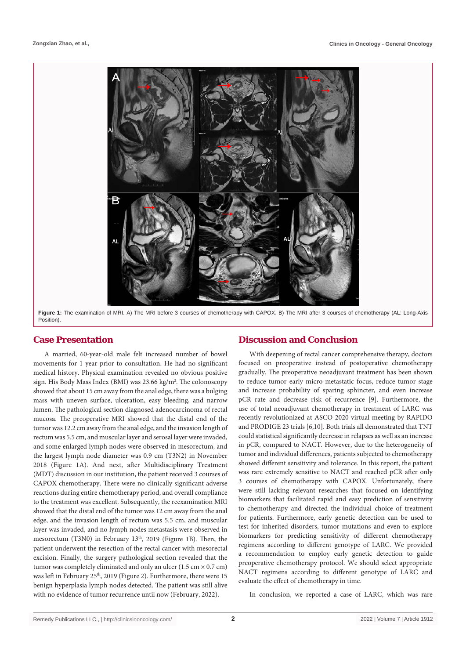

**Figure 1:** The examination of MRI. A) The MRI before 3 courses of chemotherapy with CAPOX. B) The MRI after 3 courses of chemotherapy (AL: Long-Axis Position).

# **Case Presentation**

A married, 60-year-old male felt increased number of bowel movements for 1 year prior to consultation. He had no significant medical history. Physical examination revealed no obvious positive sign. His Body Mass Index (BMI) was 23.66 kg/m<sup>2</sup>. The colonoscopy showed that about 15 cm away from the anal edge, there was a bulging mass with uneven surface, ulceration, easy bleeding, and narrow lumen. The pathological section diagnosed adenocarcinoma of rectal mucosa. The preoperative MRI showed that the distal end of the tumor was 12.2 cm away from the anal edge, and the invasion length of rectum was 5.5 cm, and muscular layer and serosal layer were invaded, and some enlarged lymph nodes were observed in mesorectum, and the largest lymph node diameter was 0.9 cm (T3N2) in November 2018 (Figure 1A). And next, after Multidisciplinary Treatment (MDT) discussion in our institution, the patient received 3 courses of CAPOX chemotherapy. There were no clinically significant adverse reactions during entire chemotherapy period, and overall compliance to the treatment was excellent. Subsequently, the reexamination MRI showed that the distal end of the tumor was 12 cm away from the anal edge, and the invasion length of rectum was 5.5 cm, and muscular layer was invaded, and no lymph nodes metastasis were observed in mesorectum (T3N0) in February 13<sup>th</sup>, 2019 (Figure 1B). Then, the patient underwent the resection of the rectal cancer with mesorectal excision. Finally, the surgery pathological section revealed that the tumor was completely eliminated and only an ulcer  $(1.5 \text{ cm} \times 0.7 \text{ cm})$ was left in February 25<sup>th</sup>, 2019 (Figure 2). Furthermore, there were 15 benign hyperplasia lymph nodes detected. The patient was still alive with no evidence of tumor recurrence until now (February, 2022).

### **Discussion and Conclusion**

With deepening of rectal cancer comprehensive therapy, doctors focused on preoperative instead of postoperative chemotherapy gradually. The preoperative neoadjuvant treatment has been shown to reduce tumor early micro-metastatic focus, reduce tumor stage and increase probability of sparing sphincter, and even increase pCR rate and decrease risk of recurrence [9]. Furthermore, the use of total neoadjuvant chemotherapy in treatment of LARC was recently revolutionized at ASCO 2020 virtual meeting by RAPIDO and PRODIGE 23 trials [6,10]. Both trials all demonstrated that TNT could statistical significantly decrease in relapses as well as an increase in pCR, compared to NACT. However, due to the heterogeneity of tumor and individual differences, patients subjected to chemotherapy showed different sensitivity and tolerance. In this report, the patient was rare extremely sensitive to NACT and reached pCR after only 3 courses of chemotherapy with CAPOX. Unfortunately, there were still lacking relevant researches that focused on identifying biomarkers that facilitated rapid and easy prediction of sensitivity to chemotherapy and directed the individual choice of treatment for patients. Furthermore, early genetic detection can be used to test for inherited disorders, tumor mutations and even to explore biomarkers for predicting sensitivity of different chemotherapy regimens according to different genotype of LARC. We provided a recommendation to employ early genetic detection to guide preoperative chemotherapy protocol. We should select appropriate NACT regimens according to different genotype of LARC and evaluate the effect of chemotherapy in time.

In conclusion, we reported a case of LARC, which was rare